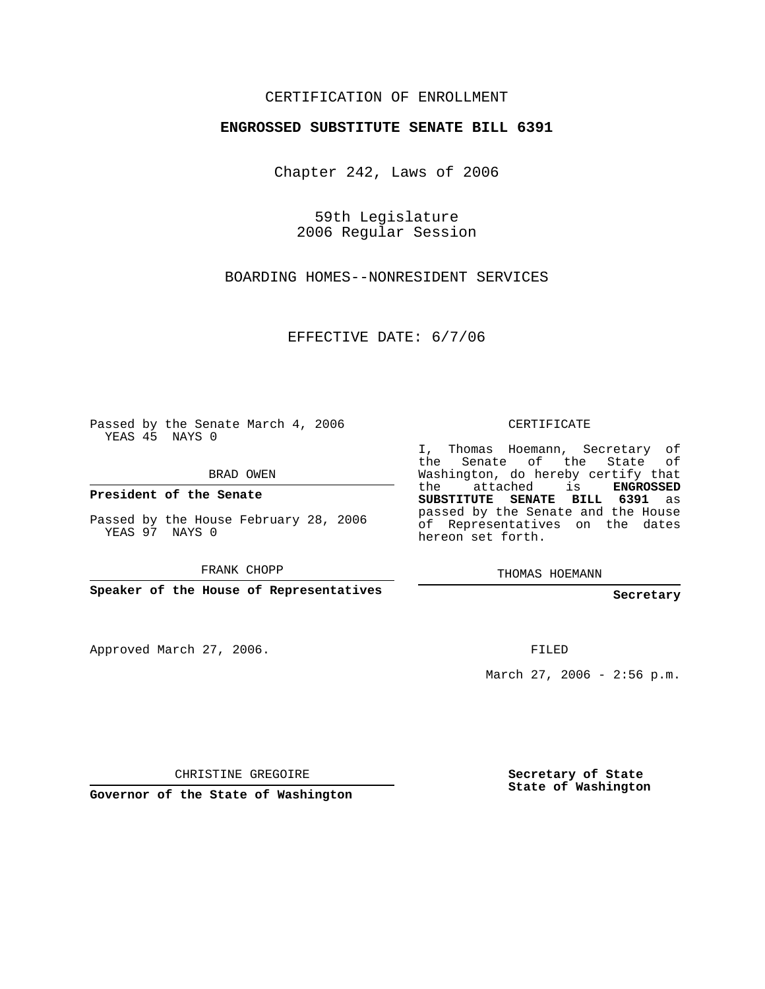## CERTIFICATION OF ENROLLMENT

## **ENGROSSED SUBSTITUTE SENATE BILL 6391**

Chapter 242, Laws of 2006

59th Legislature 2006 Regular Session

BOARDING HOMES--NONRESIDENT SERVICES

EFFECTIVE DATE: 6/7/06

Passed by the Senate March 4, 2006 YEAS 45 NAYS 0

BRAD OWEN

**President of the Senate**

Passed by the House February 28, 2006 YEAS 97 NAYS 0

FRANK CHOPP

**Speaker of the House of Representatives**

Approved March 27, 2006.

CERTIFICATE

I, Thomas Hoemann, Secretary of the Senate of the State of Washington, do hereby certify that the attached is **ENGROSSED SUBSTITUTE SENATE BILL 6391** as passed by the Senate and the House of Representatives on the dates hereon set forth.

THOMAS HOEMANN

**Secretary**

FILED

March 27, 2006 - 2:56 p.m.

CHRISTINE GREGOIRE

**Governor of the State of Washington**

**Secretary of State State of Washington**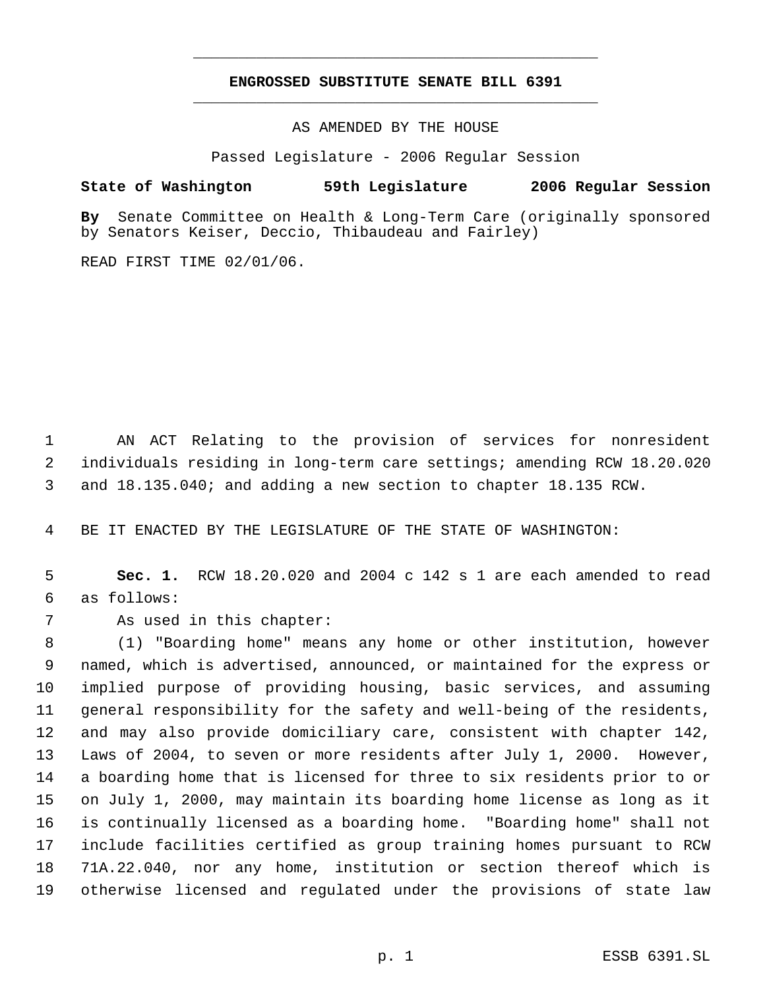## **ENGROSSED SUBSTITUTE SENATE BILL 6391** \_\_\_\_\_\_\_\_\_\_\_\_\_\_\_\_\_\_\_\_\_\_\_\_\_\_\_\_\_\_\_\_\_\_\_\_\_\_\_\_\_\_\_\_\_

\_\_\_\_\_\_\_\_\_\_\_\_\_\_\_\_\_\_\_\_\_\_\_\_\_\_\_\_\_\_\_\_\_\_\_\_\_\_\_\_\_\_\_\_\_

AS AMENDED BY THE HOUSE

Passed Legislature - 2006 Regular Session

## **State of Washington 59th Legislature 2006 Regular Session**

**By** Senate Committee on Health & Long-Term Care (originally sponsored by Senators Keiser, Deccio, Thibaudeau and Fairley)

READ FIRST TIME 02/01/06.

 AN ACT Relating to the provision of services for nonresident individuals residing in long-term care settings; amending RCW 18.20.020 and 18.135.040; and adding a new section to chapter 18.135 RCW.

BE IT ENACTED BY THE LEGISLATURE OF THE STATE OF WASHINGTON:

 **Sec. 1.** RCW 18.20.020 and 2004 c 142 s 1 are each amended to read as follows:

As used in this chapter:

 (1) "Boarding home" means any home or other institution, however named, which is advertised, announced, or maintained for the express or implied purpose of providing housing, basic services, and assuming general responsibility for the safety and well-being of the residents, and may also provide domiciliary care, consistent with chapter 142, Laws of 2004, to seven or more residents after July 1, 2000. However, a boarding home that is licensed for three to six residents prior to or on July 1, 2000, may maintain its boarding home license as long as it is continually licensed as a boarding home. "Boarding home" shall not include facilities certified as group training homes pursuant to RCW 71A.22.040, nor any home, institution or section thereof which is otherwise licensed and regulated under the provisions of state law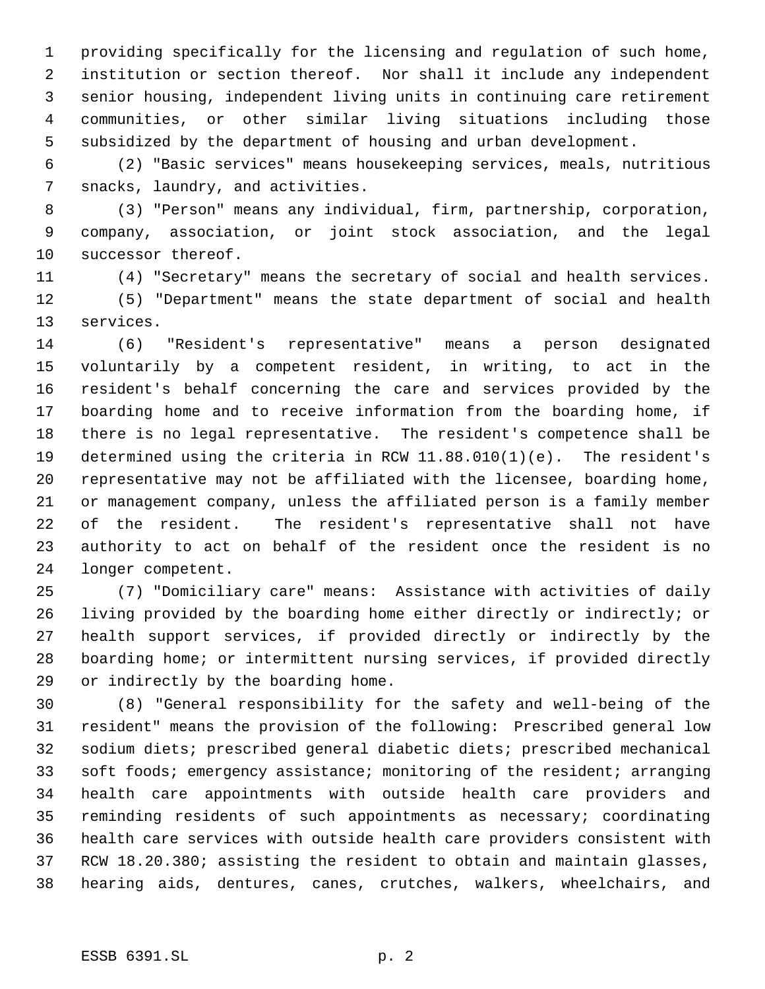providing specifically for the licensing and regulation of such home, institution or section thereof. Nor shall it include any independent senior housing, independent living units in continuing care retirement communities, or other similar living situations including those subsidized by the department of housing and urban development.

 (2) "Basic services" means housekeeping services, meals, nutritious snacks, laundry, and activities.

 (3) "Person" means any individual, firm, partnership, corporation, company, association, or joint stock association, and the legal successor thereof.

 (4) "Secretary" means the secretary of social and health services. (5) "Department" means the state department of social and health services.

 (6) "Resident's representative" means a person designated voluntarily by a competent resident, in writing, to act in the resident's behalf concerning the care and services provided by the boarding home and to receive information from the boarding home, if there is no legal representative. The resident's competence shall be determined using the criteria in RCW 11.88.010(1)(e). The resident's representative may not be affiliated with the licensee, boarding home, or management company, unless the affiliated person is a family member of the resident. The resident's representative shall not have authority to act on behalf of the resident once the resident is no longer competent.

 (7) "Domiciliary care" means: Assistance with activities of daily living provided by the boarding home either directly or indirectly; or health support services, if provided directly or indirectly by the boarding home; or intermittent nursing services, if provided directly or indirectly by the boarding home.

 (8) "General responsibility for the safety and well-being of the resident" means the provision of the following: Prescribed general low sodium diets; prescribed general diabetic diets; prescribed mechanical 33 soft foods; emergency assistance; monitoring of the resident; arranging health care appointments with outside health care providers and reminding residents of such appointments as necessary; coordinating health care services with outside health care providers consistent with RCW 18.20.380; assisting the resident to obtain and maintain glasses, hearing aids, dentures, canes, crutches, walkers, wheelchairs, and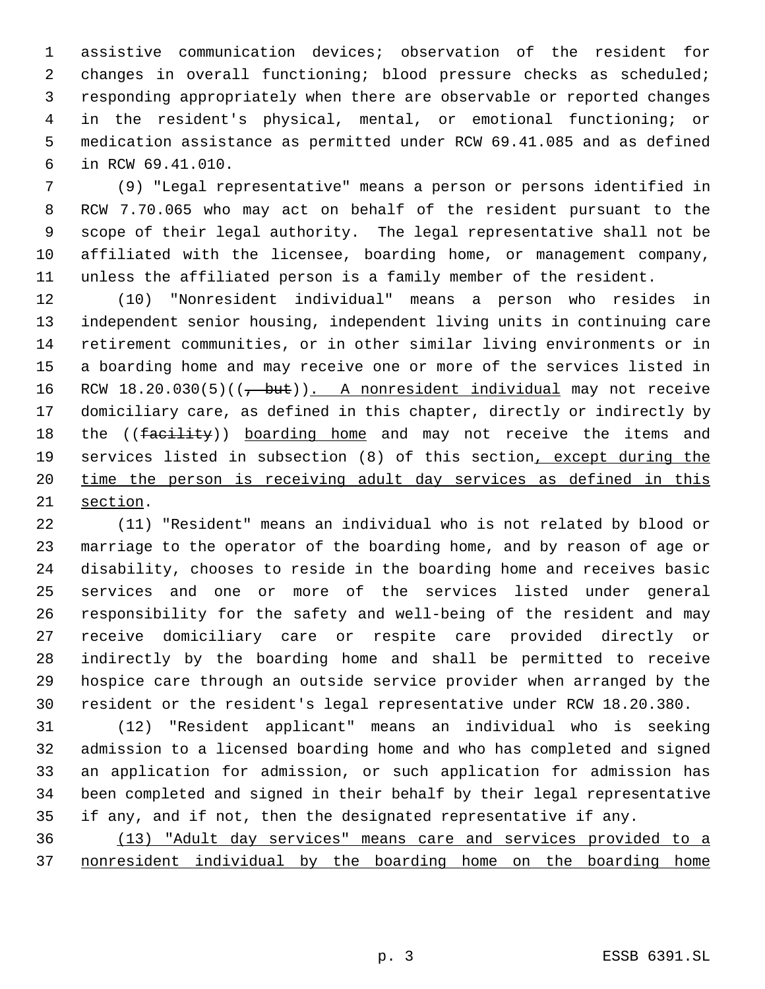assistive communication devices; observation of the resident for changes in overall functioning; blood pressure checks as scheduled; responding appropriately when there are observable or reported changes in the resident's physical, mental, or emotional functioning; or medication assistance as permitted under RCW 69.41.085 and as defined in RCW 69.41.010.

 (9) "Legal representative" means a person or persons identified in RCW 7.70.065 who may act on behalf of the resident pursuant to the scope of their legal authority. The legal representative shall not be affiliated with the licensee, boarding home, or management company, unless the affiliated person is a family member of the resident.

 (10) "Nonresident individual" means a person who resides in independent senior housing, independent living units in continuing care retirement communities, or in other similar living environments or in a boarding home and may receive one or more of the services listed in 16 RCW 18.20.030(5)((<del>, but</del>)). A nonresident individual may not receive domiciliary care, as defined in this chapter, directly or indirectly by 18 the ((facility)) boarding home and may not receive the items and 19 services listed in subsection (8) of this section, except during the 20 time the person is receiving adult day services as defined in this section.

 (11) "Resident" means an individual who is not related by blood or marriage to the operator of the boarding home, and by reason of age or disability, chooses to reside in the boarding home and receives basic services and one or more of the services listed under general responsibility for the safety and well-being of the resident and may receive domiciliary care or respite care provided directly or indirectly by the boarding home and shall be permitted to receive hospice care through an outside service provider when arranged by the resident or the resident's legal representative under RCW 18.20.380.

 (12) "Resident applicant" means an individual who is seeking admission to a licensed boarding home and who has completed and signed an application for admission, or such application for admission has been completed and signed in their behalf by their legal representative if any, and if not, then the designated representative if any.

 (13) "Adult day services" means care and services provided to a nonresident individual by the boarding home on the boarding home